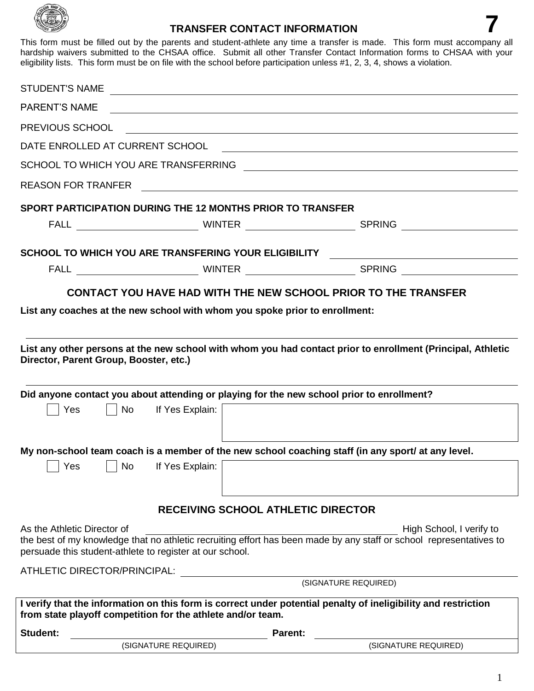

## **TRANSFER CONTACT INFORMATION 7**

This form must be filled out by the parents and student-athlete any time a transfer is made. This form must accompany all hardship waivers submitted to the CHSAA office. Submit all other Transfer Contact Information forms to CHSAA with your eligibility lists. This form must be on file with the school before participation unless #1, 2, 3, 4, shows a violation.

| <b>STUDENT'S NAME</b>                                |              |                                                             | <u> 1989 - Johann Barn, mars and de Brasilian (b. 1989)</u>                               |                                                                                                                                                 |
|------------------------------------------------------|--------------|-------------------------------------------------------------|-------------------------------------------------------------------------------------------|-------------------------------------------------------------------------------------------------------------------------------------------------|
| <b>PARENT'S NAME</b>                                 |              |                                                             | <u>a sa barang ang pagbabang nagarang pangangang nagarang pangangang nagarang pang</u>    |                                                                                                                                                 |
| PREVIOUS SCHOOL                                      |              |                                                             |                                                                                           |                                                                                                                                                 |
| DATE ENROLLED AT CURRENT SCHOOL                      |              |                                                             |                                                                                           |                                                                                                                                                 |
|                                                      |              |                                                             |                                                                                           |                                                                                                                                                 |
|                                                      |              |                                                             |                                                                                           |                                                                                                                                                 |
|                                                      |              |                                                             | <b>SPORT PARTICIPATION DURING THE 12 MONTHS PRIOR TO TRANSFER</b>                         |                                                                                                                                                 |
|                                                      |              |                                                             |                                                                                           |                                                                                                                                                 |
|                                                      |              |                                                             |                                                                                           | SCHOOL TO WHICH YOU ARE TRANSFERING YOUR ELIGIBILITY THE CONDITIONAL CONDITIONAL CONDITIONAL CONDITIONAL CONDI                                  |
|                                                      |              |                                                             |                                                                                           |                                                                                                                                                 |
| Director, Parent Group, Booster, etc.)<br><b>Yes</b> | $\mathbf{I}$ | No If Yes Explain:                                          | Did anyone contact you about attending or playing for the new school prior to enrollment? | List any other persons at the new school with whom you had contact prior to enrollment (Principal, Athletic                                     |
|                                                      |              |                                                             |                                                                                           |                                                                                                                                                 |
|                                                      |              |                                                             |                                                                                           | My non-school team coach is a member of the new school coaching staff (in any sport/ at any level.                                              |
| $\vert$ Yes                                          | No           | If Yes Explain:                                             |                                                                                           |                                                                                                                                                 |
|                                                      |              |                                                             | <b>RECEIVING SCHOOL ATHLETIC DIRECTOR</b>                                                 |                                                                                                                                                 |
| As the Athletic Director of                          |              | persuade this student-athlete to register at our school.    |                                                                                           | High School, I verify to<br>the best of my knowledge that no athletic recruiting effort has been made by any staff or school representatives to |
| ATHLETIC DIRECTOR/PRINCIPAL:<br>(SIGNATURE REQUIRED) |              |                                                             |                                                                                           |                                                                                                                                                 |
|                                                      |              |                                                             |                                                                                           |                                                                                                                                                 |
|                                                      |              | from state playoff competition for the athlete and/or team. |                                                                                           | I verify that the information on this form is correct under potential penalty of ineligibility and restriction                                  |
| <b>Student:</b>                                      |              |                                                             | <b>Parent:</b>                                                                            |                                                                                                                                                 |
|                                                      |              | (SIGNATURE REQUIRED)                                        |                                                                                           | (SIGNATURE REQUIRED)                                                                                                                            |